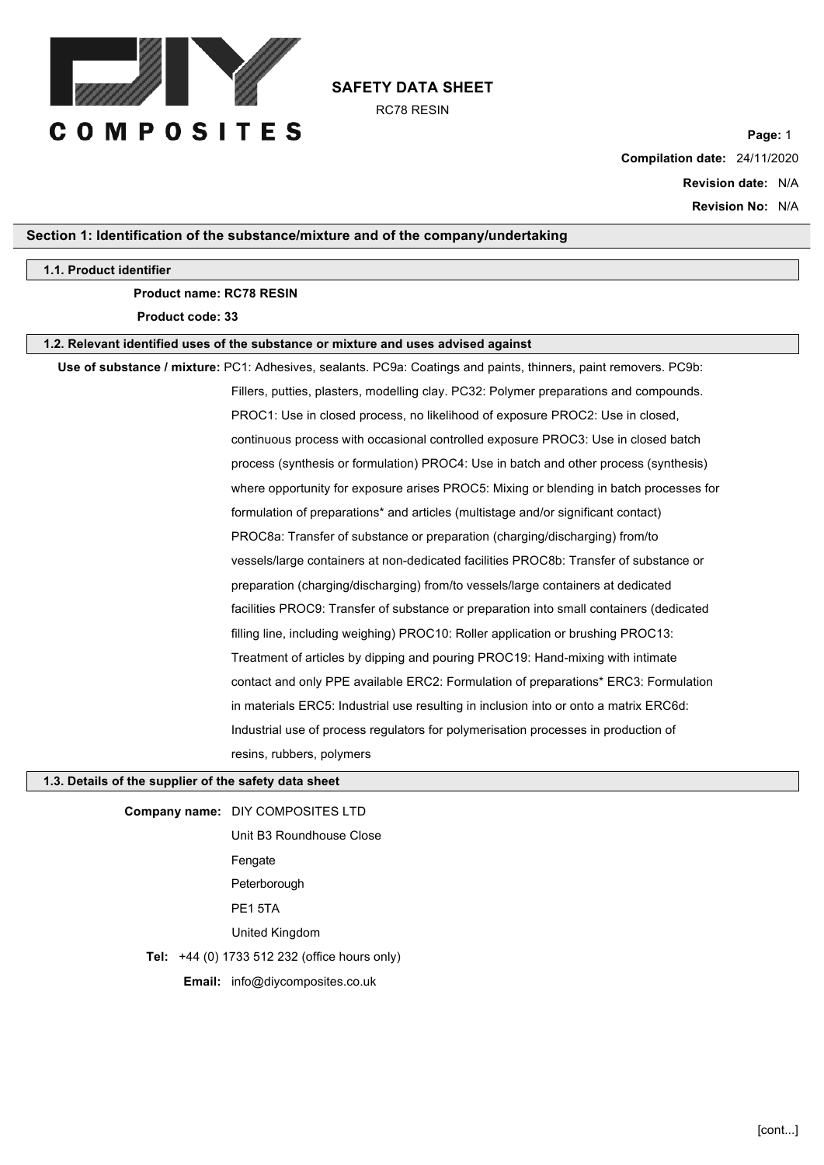

RC78 RESIN

**Page:** 1 **Compilation date:** 24/11/2020 **Revision date:** N/A **Revision No:** N/A

## **Section 1: Identification of the substance/mixture and of the company/undertaking**

#### **1.1. Product identifier**

#### **Product name: RC78 RESIN**

**Product code: 33**

#### **1.2. Relevant identified uses of the substance or mixture and uses advised against**

**Use of substance / mixture:** PC1: Adhesives, sealants. PC9a: Coatings and paints, thinners, paint removers. PC9b: Fillers, putties, plasters, modelling clay. PC32: Polymer preparations and compounds. PROC1: Use in closed process, no likelihood of exposure PROC2: Use in closed, continuous process with occasional controlled exposure PROC3: Use in closed batch process (synthesis or formulation) PROC4: Use in batch and other process (synthesis) where opportunity for exposure arises PROC5: Mixing or blending in batch processes for formulation of preparations\* and articles (multistage and/or significant contact) PROC8a: Transfer of substance or preparation (charging/discharging) from/to vessels/large containers at non-dedicated facilities PROC8b: Transfer of substance or preparation (charging/discharging) from/to vessels/large containers at dedicated facilities PROC9: Transfer of substance or preparation into small containers (dedicated filling line, including weighing) PROC10: Roller application or brushing PROC13: Treatment of articles by dipping and pouring PROC19: Hand-mixing with intimate contact and only PPE available ERC2: Formulation of preparations\* ERC3: Formulation in materials ERC5: Industrial use resulting in inclusion into or onto a matrix ERC6d: Industrial use of process regulators for polymerisation processes in production of resins, rubbers, polymers

# **1.3. Details of the supplier of the safety data sheet**

**Company name:** DIY COMPOSITES LTD Unit B3 Roundhouse Close Fengate Peterborough PE1 5TA

United Kingdom

**Tel:** +44 (0) 1733 512 232 (office hours only)

**Email:** info@diycomposites.co.uk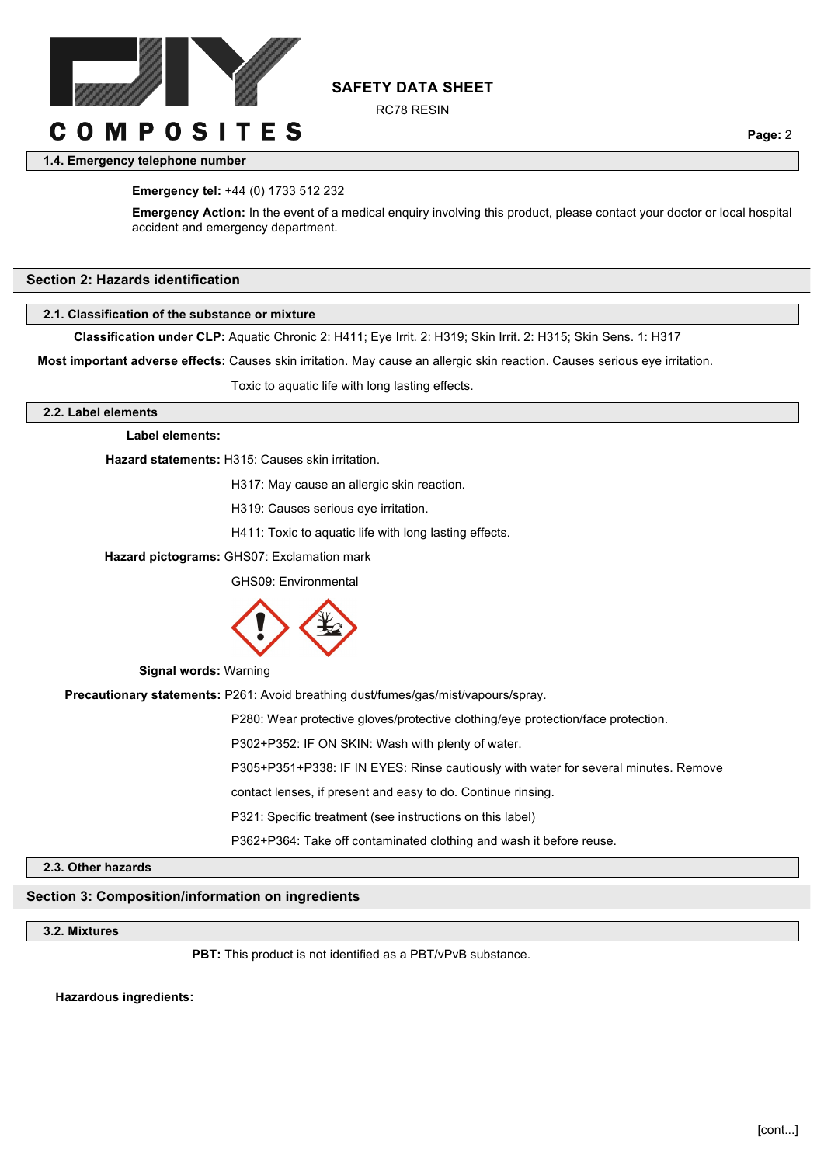

RC78 RESIN

**Page:** 2

# **1.4. Emergency telephone number**

#### **Emergency tel:** +44 (0) 1733 512 232

**Emergency Action:** In the event of a medical enquiry involving this product, please contact your doctor or local hospital accident and emergency department.

#### **Section 2: Hazards identification**

#### **2.1. Classification of the substance or mixture**

**Classification under CLP:** Aquatic Chronic 2: H411; Eye Irrit. 2: H319; Skin Irrit. 2: H315; Skin Sens. 1: H317

**Most important adverse effects:** Causes skin irritation. May cause an allergic skin reaction. Causes serious eye irritation.

Toxic to aquatic life with long lasting effects.

#### **2.2. Label elements**

#### **Label elements:**

**Hazard statements:** H315: Causes skin irritation.

H317: May cause an allergic skin reaction.

H319: Causes serious eye irritation.

H411: Toxic to aquatic life with long lasting effects.

**Hazard pictograms:** GHS07: Exclamation mark

GHS09: Environmental



**Signal words:** Warning

**Precautionary statements:** P261: Avoid breathing dust/fumes/gas/mist/vapours/spray.

P280: Wear protective gloves/protective clothing/eye protection/face protection.

P302+P352: IF ON SKIN: Wash with plenty of water.

P305+P351+P338: IF IN EYES: Rinse cautiously with water for several minutes. Remove

contact lenses, if present and easy to do. Continue rinsing.

P321: Specific treatment (see instructions on this label)

P362+P364: Take off contaminated clothing and wash it before reuse.

### **2.3. Other hazards**

# **Section 3: Composition/information on ingredients**

### **3.2. Mixtures**

PBT: This product is not identified as a PBT/vPvB substance.

**Hazardous ingredients:**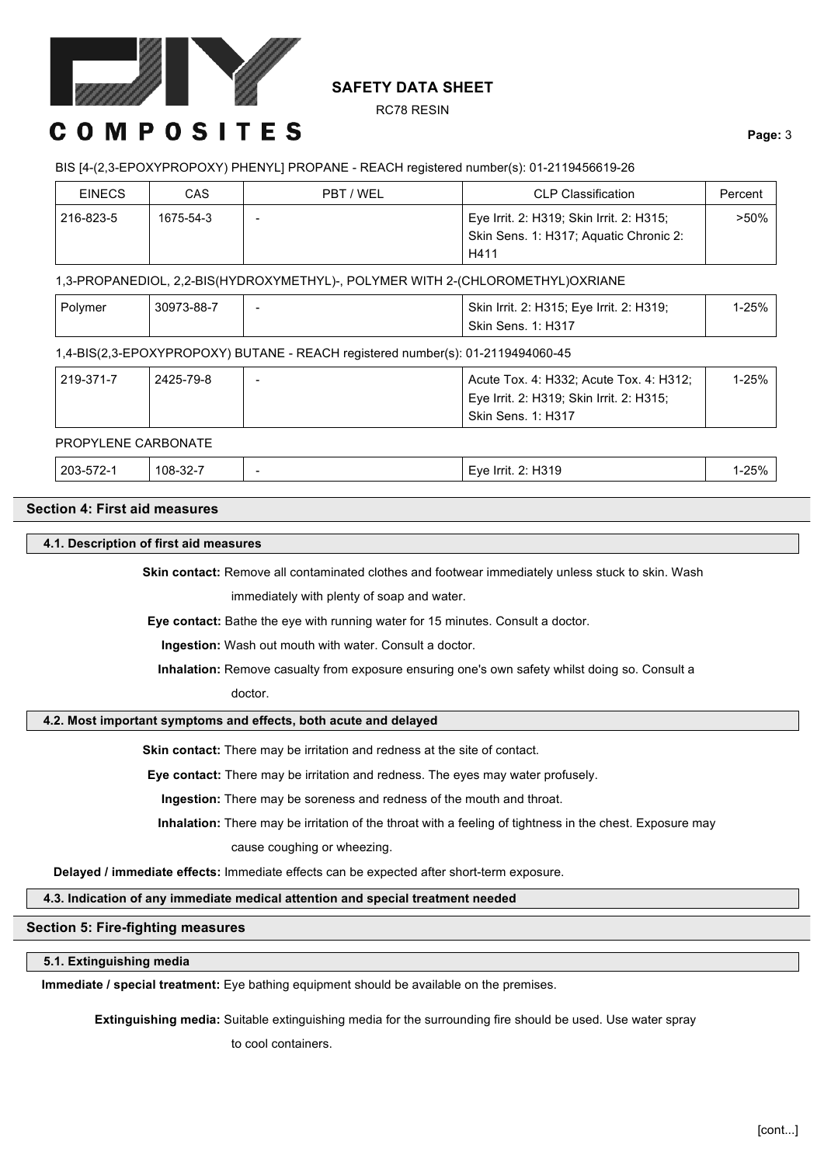

RC78 RESIN

# **COMPOSITES**

# **Page:** 3

## BIS [4-(2,3-EPOXYPROPOXY) PHENYL] PROPANE - REACH registered number(s): 01-2119456619-26

| <b>EINECS</b> | CAS       | PBT / WEL | <b>CLP Classification</b>                | Percent |
|---------------|-----------|-----------|------------------------------------------|---------|
| 216-823-5     | 1675-54-3 |           | Eye Irrit. 2: H319; Skin Irrit. 2: H315; | $>50\%$ |
|               |           |           | Skin Sens. 1: H317; Aquatic Chronic 2:   |         |
|               |           |           | H411                                     |         |

1,3-PROPANEDIOL, 2,2-BIS(HYDROXYMETHYL)-, POLYMER WITH 2-(CHLOROMETHYL)OXRIANE

| Polymer | 30973-88-7 | Skin Irrit. 2: H315; Eye Irrit. 2: H319; | $1 - 25%$ |
|---------|------------|------------------------------------------|-----------|
|         |            | <b>Skin Sens. 1: H317</b>                |           |

### 1,4-BIS(2,3-EPOXYPROPOXY) BUTANE - REACH registered number(s): 01-2119494060-45

| 219-371-7 | 2425-79-8 | Acute Tox. 4: H332; Acute Tox. 4: H312;  | 1-25% |
|-----------|-----------|------------------------------------------|-------|
|           |           | Eye Irrit. 2: H319; Skin Irrit. 2: H315; |       |
|           |           | <b>Skin Sens. 1: H317</b>                |       |

#### PROPYLENE CARBONATE

| <u>າາ 7</u><br>$-70$<br>$203 -$<br>$108 - 32 - 7$<br>4310<br>Irrit.<br>Eve<br>.<br><u>_</u><br>01 Z<br>. טו<br>$ -$ | 250/<br>0 / ت∠∙ |
|---------------------------------------------------------------------------------------------------------------------|-----------------|
|---------------------------------------------------------------------------------------------------------------------|-----------------|

# **Section 4: First aid measures**

#### **4.1. Description of first aid measures**

Skin contact: Remove all contaminated clothes and footwear immediately unless stuck to skin. Wash

immediately with plenty of soap and water.

**Eye contact:** Bathe the eye with running water for 15 minutes. Consult a doctor.

**Ingestion:** Wash out mouth with water. Consult a doctor.

**Inhalation:** Remove casualty from exposure ensuring one's own safety whilst doing so. Consult a

doctor.

#### **4.2. Most important symptoms and effects, both acute and delayed**

**Skin contact:** There may be irritation and redness at the site of contact.

**Eye contact:** There may be irritation and redness. The eyes may water profusely.

**Ingestion:** There may be soreness and redness of the mouth and throat.

**Inhalation:** There may be irritation of the throat with a feeling of tightness in the chest. Exposure may

cause coughing or wheezing.

**Delayed / immediate effects:** Immediate effects can be expected after short-term exposure.

#### **4.3. Indication of any immediate medical attention and special treatment needed**

#### **Section 5: Fire-fighting measures**

# **5.1. Extinguishing media**

**Immediate / special treatment:** Eye bathing equipment should be available on the premises.

**Extinguishing media:** Suitable extinguishing media for the surrounding fire should be used. Use water spray

to cool containers.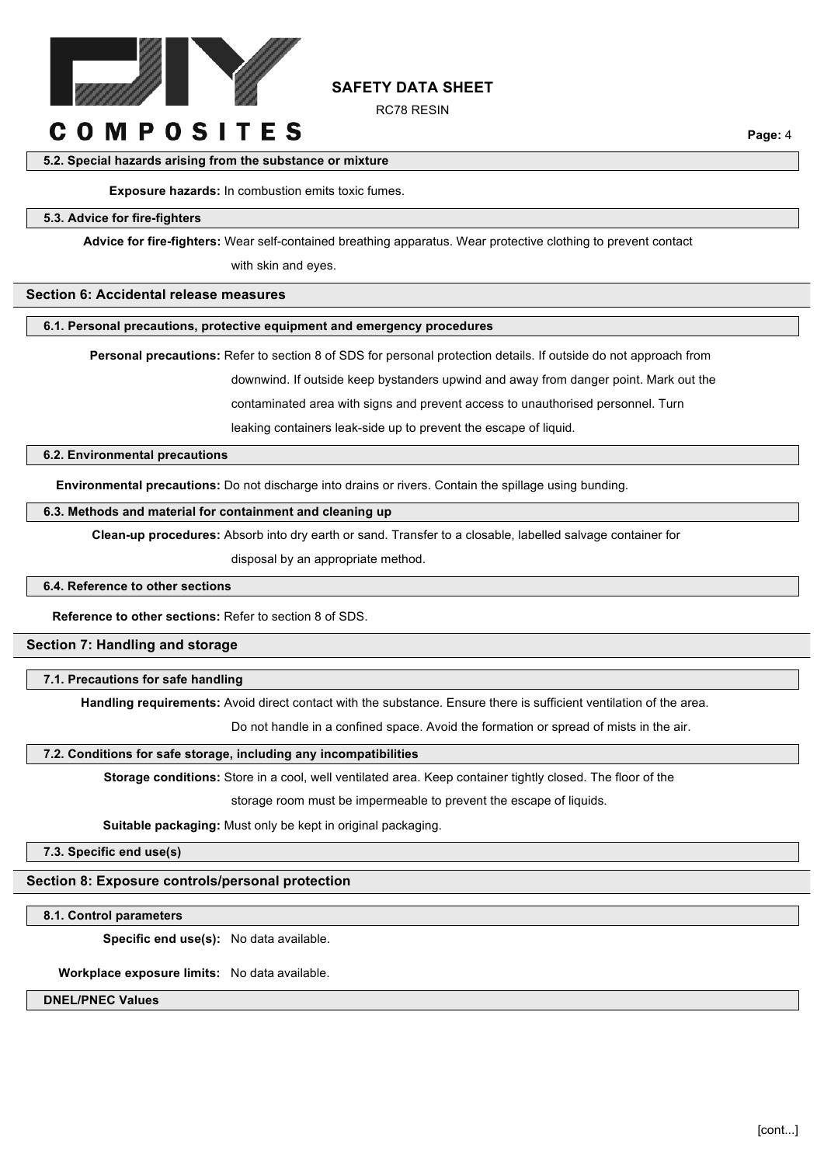

RC78 RESIN

# **COMPOSITES**

**Page:** 4

#### **5.2. Special hazards arising from the substance or mixture**

**Exposure hazards:** In combustion emits toxic fumes.

#### **5.3. Advice for fire-fighters**

**Advice for fire-fighters:** Wear self-contained breathing apparatus. Wear protective clothing to prevent contact

with skin and eyes.

# **Section 6: Accidental release measures**

#### **6.1. Personal precautions, protective equipment and emergency procedures**

**Personal precautions:** Refer to section 8 of SDS for personal protection details. If outside do not approach from

downwind. If outside keep bystanders upwind and away from danger point. Mark out the

contaminated area with signs and prevent access to unauthorised personnel. Turn

leaking containers leak-side up to prevent the escape of liquid.

#### **6.2. Environmental precautions**

**Environmental precautions:** Do not discharge into drains or rivers. Contain the spillage using bunding.

#### **6.3. Methods and material for containment and cleaning up**

**Clean-up procedures:** Absorb into dry earth or sand. Transfer to a closable, labelled salvage container for

disposal by an appropriate method.

#### **6.4. Reference to other sections**

**Reference to other sections:** Refer to section 8 of SDS.

# **Section 7: Handling and storage**

**7.1. Precautions for safe handling**

**Handling requirements:** Avoid direct contact with the substance. Ensure there is sufficient ventilation of the area.

Do not handle in a confined space. Avoid the formation or spread of mists in the air.

# **7.2. Conditions for safe storage, including any incompatibilities**

**Storage conditions:** Store in a cool, well ventilated area. Keep container tightly closed. The floor of the

storage room must be impermeable to prevent the escape of liquids.

**Suitable packaging:** Must only be kept in original packaging.

**7.3. Specific end use(s)**

**Section 8: Exposure controls/personal protection**

**8.1. Control parameters**

**Specific end use(s):** No data available.

**Workplace exposure limits:** No data available.

**DNEL/PNEC Values**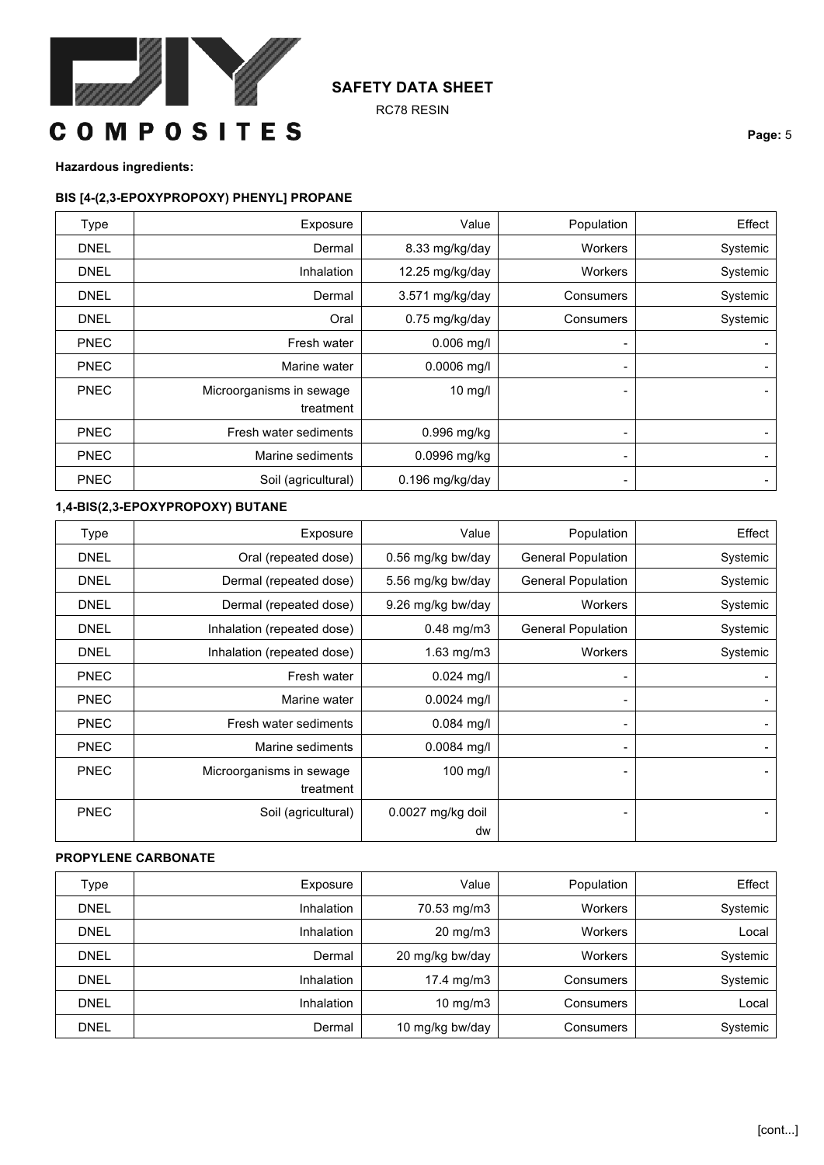

RC78 RESIN

**Page:** 5

**Hazardous ingredients:**

# **BIS [4-(2,3-EPOXYPROPOXY) PHENYL] PROPANE**

| <b>Type</b> | Exposure                 | Value             | Population | Effect         |
|-------------|--------------------------|-------------------|------------|----------------|
| <b>DNEL</b> | Dermal                   | 8.33 mg/kg/day    | Workers    | Systemic       |
| <b>DNEL</b> | Inhalation               | 12.25 mg/kg/day   | Workers    | Systemic       |
| <b>DNEL</b> | Dermal                   | 3.571 mg/kg/day   | Consumers  | Systemic       |
| <b>DNEL</b> | Oral                     | 0.75 mg/kg/day    | Consumers  | Systemic       |
| <b>PNEC</b> | Fresh water              | $0.006$ mg/l      | ۰.         | ۰.             |
| <b>PNEC</b> | Marine water             | $0.0006$ mg/l     | ۰.         | $\blacksquare$ |
| <b>PNEC</b> | Microorganisms in sewage | $10$ mg/l         | -          | ٠.             |
|             | treatment                |                   |            |                |
| <b>PNEC</b> | Fresh water sediments    | $0.996$ mg/kg     |            | ٠.             |
| <b>PNEC</b> | Marine sediments         | $0.0996$ mg/kg    | ۰.         | $\blacksquare$ |
| <b>PNEC</b> | Soil (agricultural)      | $0.196$ mg/kg/day | -          | $\blacksquare$ |

# **1,4-BIS(2,3-EPOXYPROPOXY) BUTANE**

| Type        | Exposure                   | Value             | Population                | Effect   |
|-------------|----------------------------|-------------------|---------------------------|----------|
| <b>DNEL</b> | Oral (repeated dose)       | 0.56 mg/kg bw/day | <b>General Population</b> | Systemic |
| <b>DNEL</b> | Dermal (repeated dose)     | 5.56 mg/kg bw/day | <b>General Population</b> | Systemic |
| <b>DNEL</b> | Dermal (repeated dose)     | 9.26 mg/kg bw/day | Workers                   | Systemic |
| <b>DNEL</b> | Inhalation (repeated dose) | $0.48$ mg/m $3$   | <b>General Population</b> | Systemic |
| <b>DNEL</b> | Inhalation (repeated dose) | 1.63 $mg/m3$      | Workers                   | Systemic |
| <b>PNEC</b> | Fresh water                | $0.024$ mg/l      |                           |          |
| <b>PNEC</b> | Marine water               | $0.0024$ mg/l     | $\blacksquare$            |          |
| <b>PNEC</b> | Fresh water sediments      | $0.084$ mg/l      |                           |          |
| <b>PNEC</b> | Marine sediments           | $0.0084$ mg/l     |                           |          |
| <b>PNEC</b> | Microorganisms in sewage   | 100 mg/l          |                           |          |
|             | treatment                  |                   |                           |          |
| <b>PNEC</b> | Soil (agricultural)        | 0.0027 mg/kg doil |                           |          |
|             |                            | dw                |                           |          |

# **PROPYLENE CARBONATE**

| Type        | Exposure          | Value             | Population     | Effect   |
|-------------|-------------------|-------------------|----------------|----------|
| <b>DNEL</b> | <b>Inhalation</b> | 70.53 mg/m3       | <b>Workers</b> | Systemic |
| <b>DNEL</b> | <b>Inhalation</b> | $20 \text{ mg/m}$ | <b>Workers</b> | Local    |
| <b>DNEL</b> | Dermal            | 20 mg/kg bw/day   | <b>Workers</b> | Systemic |
| <b>DNEL</b> | Inhalation        | 17.4 mg/m3        | Consumers      | Systemic |
| <b>DNEL</b> | <b>Inhalation</b> | 10 mg/m $3$       | Consumers      | Local    |
| DNEL        | Dermal            | 10 mg/kg bw/day   | Consumers      | Systemic |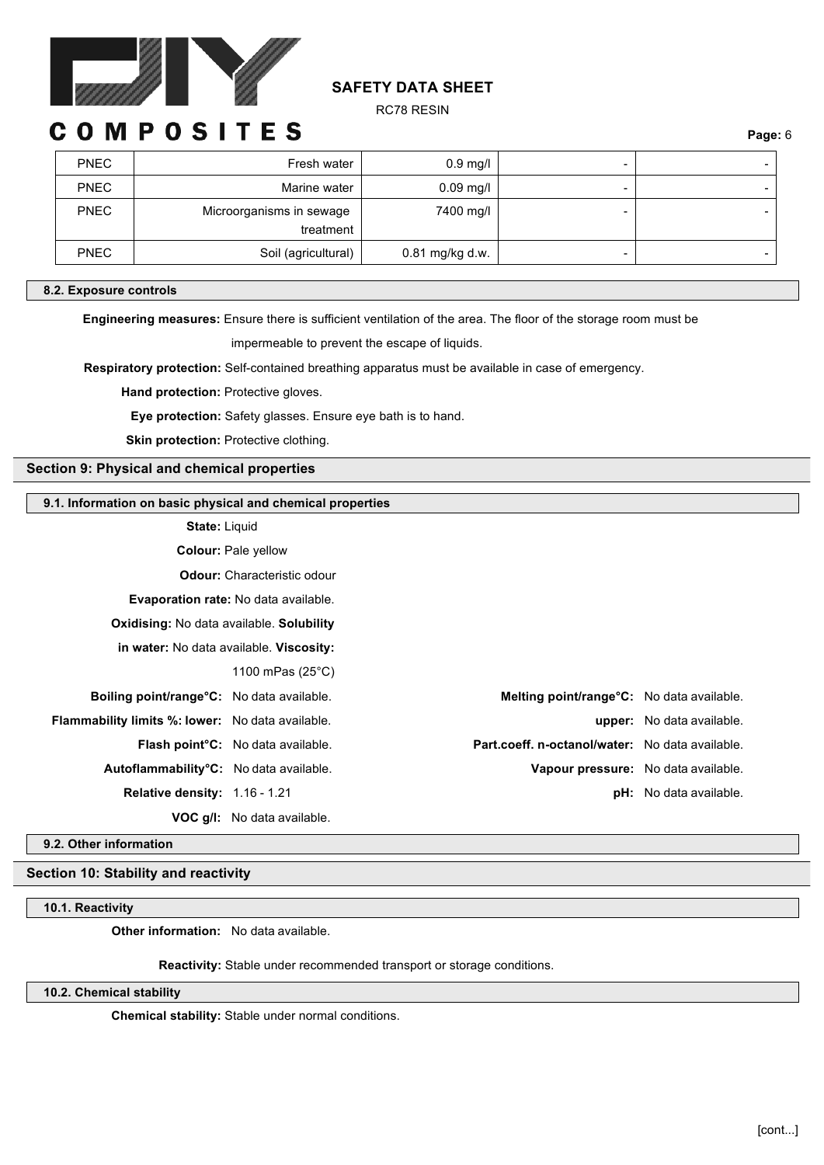

RC78 RESIN

# OMPOSITES

**Page:** 6

| <b>PNEC</b> | Fresh water                           | $0.9$ mg/l      | - |  |
|-------------|---------------------------------------|-----------------|---|--|
| <b>PNEC</b> | Marine water                          | $0.09$ mg/l     | - |  |
| <b>PNEC</b> | Microorganisms in sewage<br>treatment | 7400 mg/l       | - |  |
|             |                                       |                 |   |  |
| <b>PNEC</b> | Soil (agricultural)                   | 0.81 mg/kg d.w. | - |  |

#### **8.2. Exposure controls**

**Engineering measures:** Ensure there is sufficient ventilation of the area. The floor of the storage room must be

impermeable to prevent the escape of liquids.

**Respiratory protection:** Self-contained breathing apparatus must be available in case of emergency.

**Hand protection: Protective gloves.** 

**Eye protection:** Safety glasses. Ensure eye bath is to hand.

**Skin protection: Protective clothing.** 

#### **Section 9: Physical and chemical properties**

#### **9.1. Information on basic physical and chemical properties**

**State:** Liquid

**Colour:** Pale yellow

**Odour:** Characteristic odour

**Evaporation rate:** No data available.

**Oxidising:** No data available. **Solubility** 

**in water:** No data available. **Viscosity:** 

1100 mPas (25°C)

- 
- 

**VOC g/l:** No data available.

**Boiling point/range°C:** No data available. **Melting point/range°C:** No data available. **Flammability limits %: lower:** No data available. **upper:** No data available. **Flash point°C:** No data available. **Part.coeff. n-octanol/water:** No data available. **Autoflammability°C:** No data available. **Vapour pressure:** No data available. **Relative density:** 1.16 - 1.21 **pH:** No data available.

**9.2. Other information**

# **Section 10: Stability and reactivity**

#### **10.1. Reactivity**

**Other information:** No data available.

**Reactivity:** Stable under recommended transport or storage conditions.

**10.2. Chemical stability**

**Chemical stability:** Stable under normal conditions.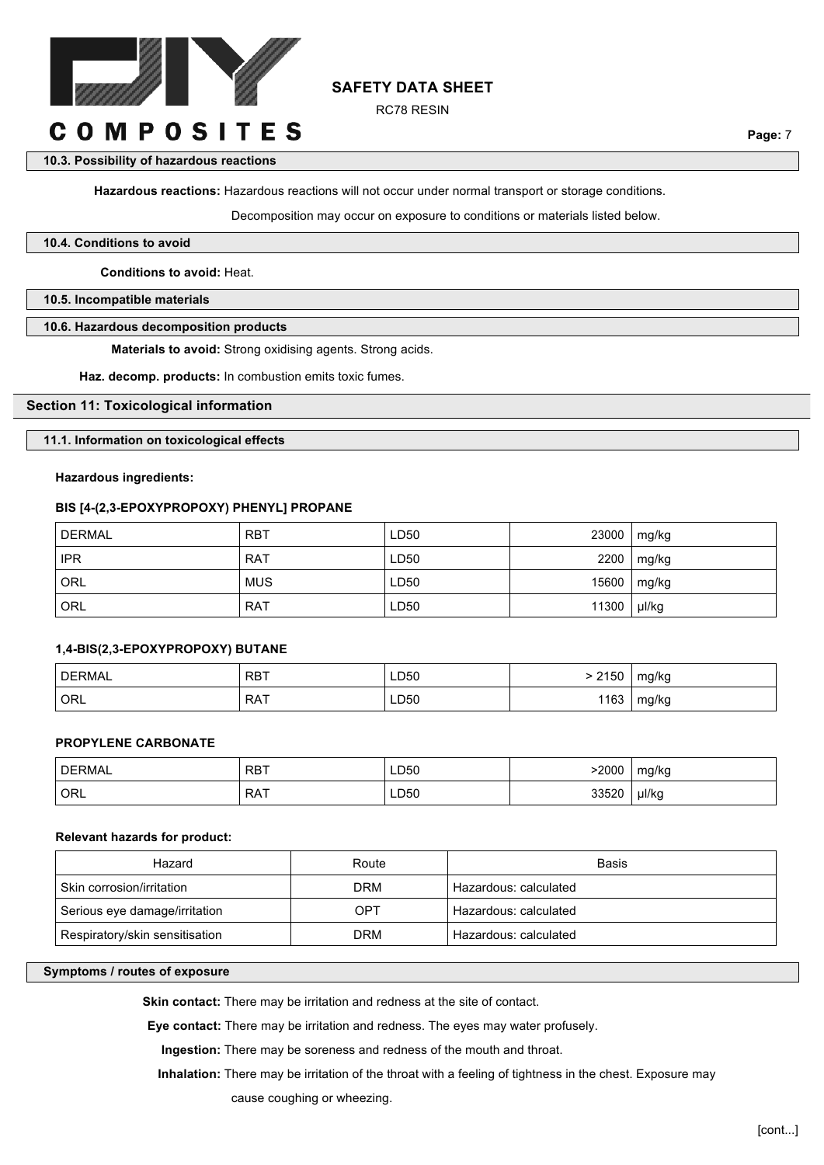

RC78 RESIN

**Page:** 7

# **10.3. Possibility of hazardous reactions**

**Hazardous reactions:** Hazardous reactions will not occur under normal transport or storage conditions.

Decomposition may occur on exposure to conditions or materials listed below.

#### **10.4. Conditions to avoid**

**Conditions to avoid:** Heat.

**10.5. Incompatible materials**

### **10.6. Hazardous decomposition products**

**Materials to avoid:** Strong oxidising agents. Strong acids.

**Haz. decomp. products:** In combustion emits toxic fumes.

### **Section 11: Toxicological information**

# **11.1. Information on toxicological effects**

# **Hazardous ingredients:**

# **BIS [4-(2,3-EPOXYPROPOXY) PHENYL] PROPANE**

| DERMAL     | <b>RBT</b> | LD50 | 23000 | mg/kg |
|------------|------------|------|-------|-------|
| <b>IPR</b> | <b>RAT</b> | LD50 | 2200  | mg/kg |
| <b>ORL</b> | <b>MUS</b> | LD50 | 15600 | mg/kg |
| ORL        | <b>RAT</b> | LD50 | 11300 | µl/kg |

# **1,4-BIS(2,3-EPOXYPROPOXY) BUTANE**

| <b>DERMAL</b> | <b>RBT</b> | LD50 | 2150 | mg/kg |
|---------------|------------|------|------|-------|
| ORL           | <b>RAT</b> | LD50 | 163  | mg/kg |

#### **PROPYLENE CARBONATE**

| <b>DERMAL</b> | RBT        | LD50 | 2000  | mg/kg |
|---------------|------------|------|-------|-------|
| ORL           | <b>RAT</b> | LD50 | 33520 | µl/kg |

## **Relevant hazards for product:**

| Hazard                         | Route | Basis                 |
|--------------------------------|-------|-----------------------|
| Skin corrosion/irritation      | DRM   | Hazardous: calculated |
| Serious eye damage/irritation  | OPT   | Hazardous: calculated |
| Respiratory/skin sensitisation | DRM   | Hazardous: calculated |

# **Symptoms / routes of exposure**

Skin contact: There may be irritation and redness at the site of contact.

**Eye contact:** There may be irritation and redness. The eyes may water profusely.

**Ingestion:** There may be soreness and redness of the mouth and throat.

**Inhalation:** There may be irritation of the throat with a feeling of tightness in the chest. Exposure may

cause coughing or wheezing.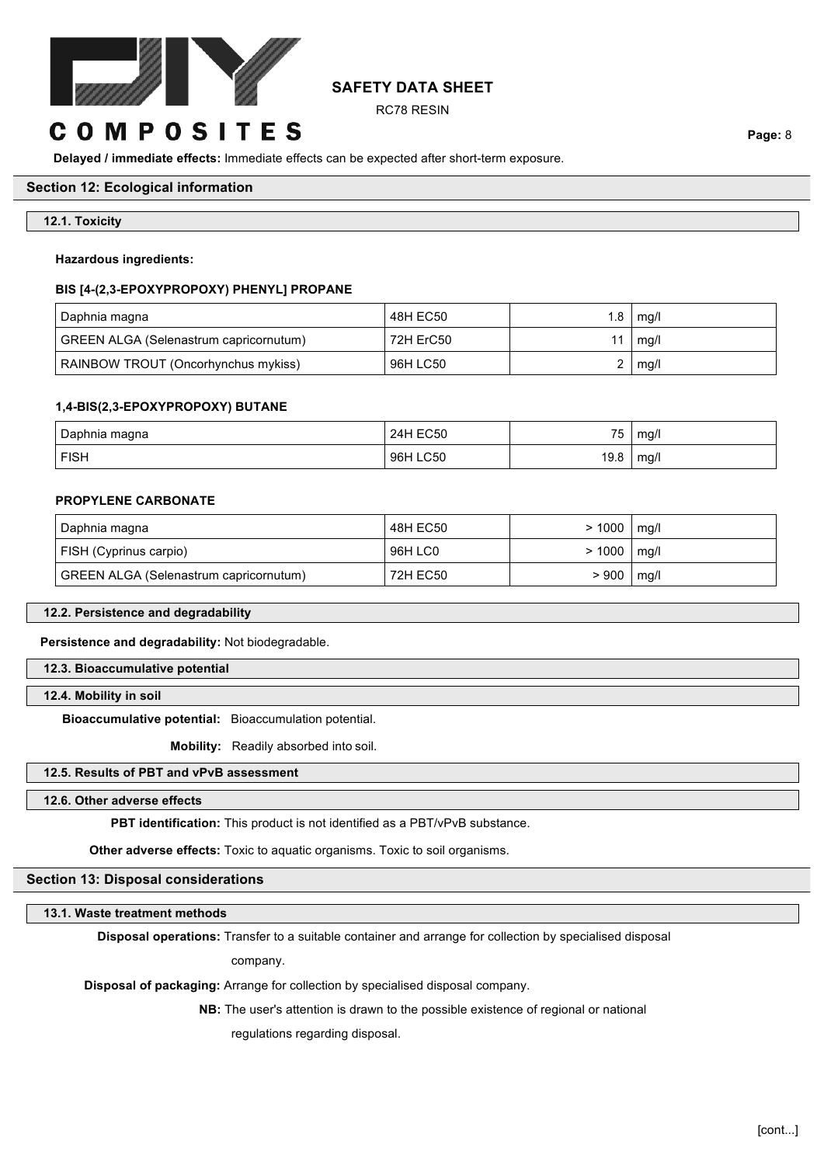

RC78 RESIN

# **COMPOSITES**

**Delayed / immediate effects:** Immediate effects can be expected after short-term exposure.

# **Section 12: Ecological information**

## **12.1. Toxicity**

#### **Hazardous ingredients:**

#### **BIS [4-(2,3-EPOXYPROPOXY) PHENYL] PROPANE**

| Daphnia magna                          | 48H EC50  | 1.8 | mg/l |
|----------------------------------------|-----------|-----|------|
| GREEN ALGA (Selenastrum capricornutum) | 72H ErC50 |     | mg/l |
| RAINBOW TROUT (Oncorhynchus mykiss)    | 96H LC50  |     | mg/l |

#### **1,4-BIS(2,3-EPOXYPROPOXY) BUTANE**

| Daphnia magna | <b>EC50</b> |            | mg/l |
|---------------|-------------|------------|------|
|               | 44          | 75         | . .  |
| <b>FISH</b>   | LC50<br>96H | റ<br>∣ J.U | mg/l |

#### **PROPYLENE CARBONATE**

| Daphnia magna                          | 48H EC50 | > 1000 | $\mid$ mg/l |
|----------------------------------------|----------|--------|-------------|
| FISH (Cyprinus carpio)                 | 96H LC0  | > 1000 | mg/l        |
| GREEN ALGA (Selenastrum capricornutum) | 72H EC50 | > 900  | mg/l        |

#### **12.2. Persistence and degradability**

**Persistence and degradability:** Not biodegradable.

**12.3. Bioaccumulative potential**

### **12.4. Mobility in soil**

**Bioaccumulative potential:** Bioaccumulation potential.

**Mobility:** Readily absorbed into soil.

# **12.5. Results of PBT and vPvB assessment**

#### **12.6. Other adverse effects**

**PBT identification:** This product is not identified as a PBT/vPvB substance.

**Other adverse effects:** Toxic to aquatic organisms. Toxic to soil organisms.

# **Section 13: Disposal considerations**

#### **13.1. Waste treatment methods**

**Disposal operations:** Transfer to a suitable container and arrange for collection by specialised disposal

company.

**Disposal of packaging:** Arrange for collection by specialised disposal company.

**NB:** The user's attention is drawn to the possible existence of regional or national

regulations regarding disposal.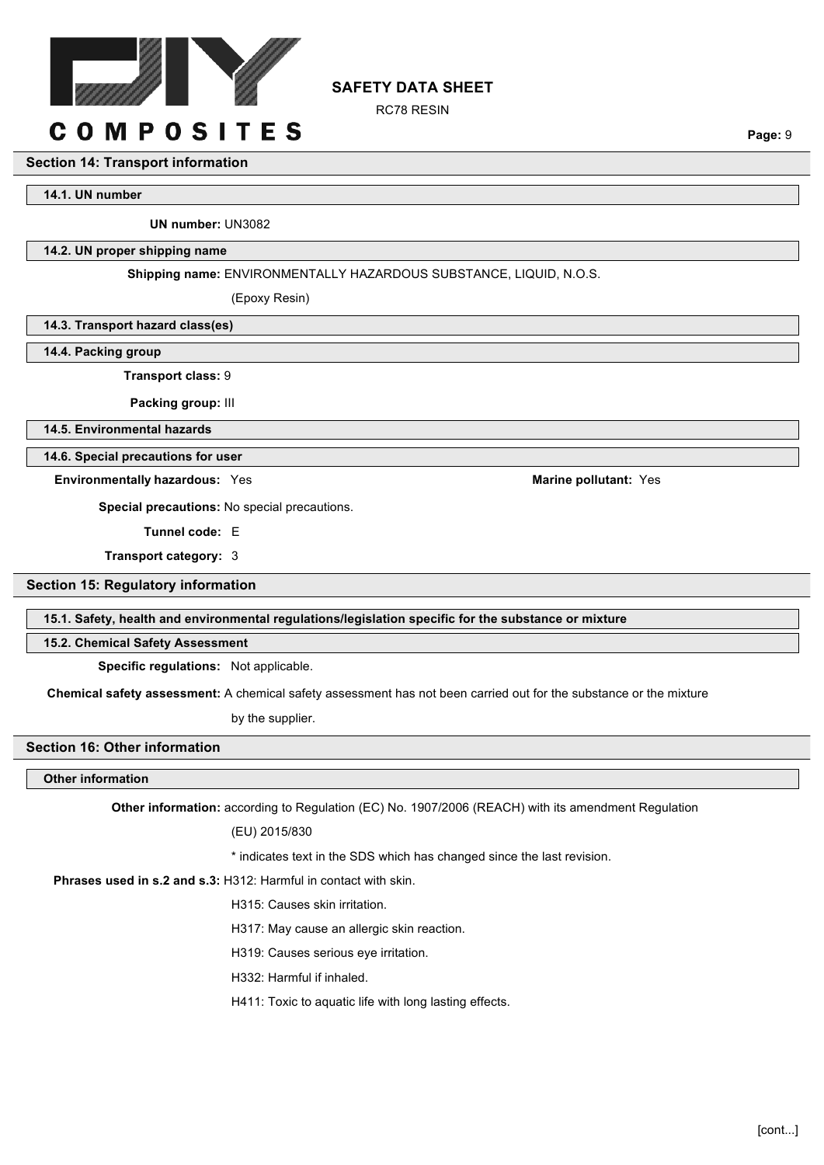

# RC78 RESIN

# **COMPOSITES**

#### **Section 14: Transport information**

**14.1. UN number**

**UN number:** UN3082

## **14.2. UN proper shipping name**

#### **Shipping name:** ENVIRONMENTALLY HAZARDOUS SUBSTANCE, LIQUID, N.O.S.

**SAFETY DATA SHEET**

(Epoxy Resin)

**14.3. Transport hazard class(es)**

**14.4. Packing group**

**Transport class:** 9

**Packing group:** III

**14.5. Environmental hazards**

**14.6. Special precautions for user**

**Environmentally hazardous:** Yes **Marine pollutant:** Yes **Marine pollutant:** Yes

**Special precautions:** No special precautions.

**Tunnel code:** E

**Transport category:** 3

# **Section 15: Regulatory information**

#### **15.1. Safety, health and environmental regulations/legislation specific for the substance or mixture**

**15.2. Chemical Safety Assessment**

**Specific regulations:** Not applicable.

**Chemical safety assessment:** A chemical safety assessment has not been carried out for the substance or the mixture

by the supplier.

## **Section 16: Other information**

# **Other information**

**Other information:** according to Regulation (EC) No. 1907/2006 (REACH) with its amendment Regulation

(EU) 2015/830

\* indicates text in the SDS which has changed since the last revision.

#### **Phrases used in s.2 and s.3:** H312: Harmful in contact with skin.

H315: Causes skin irritation.

H317: May cause an allergic skin reaction.

H319: Causes serious eye irritation.

H332: Harmful if inhaled.

H411: Toxic to aquatic life with long lasting effects.

**Page:** 9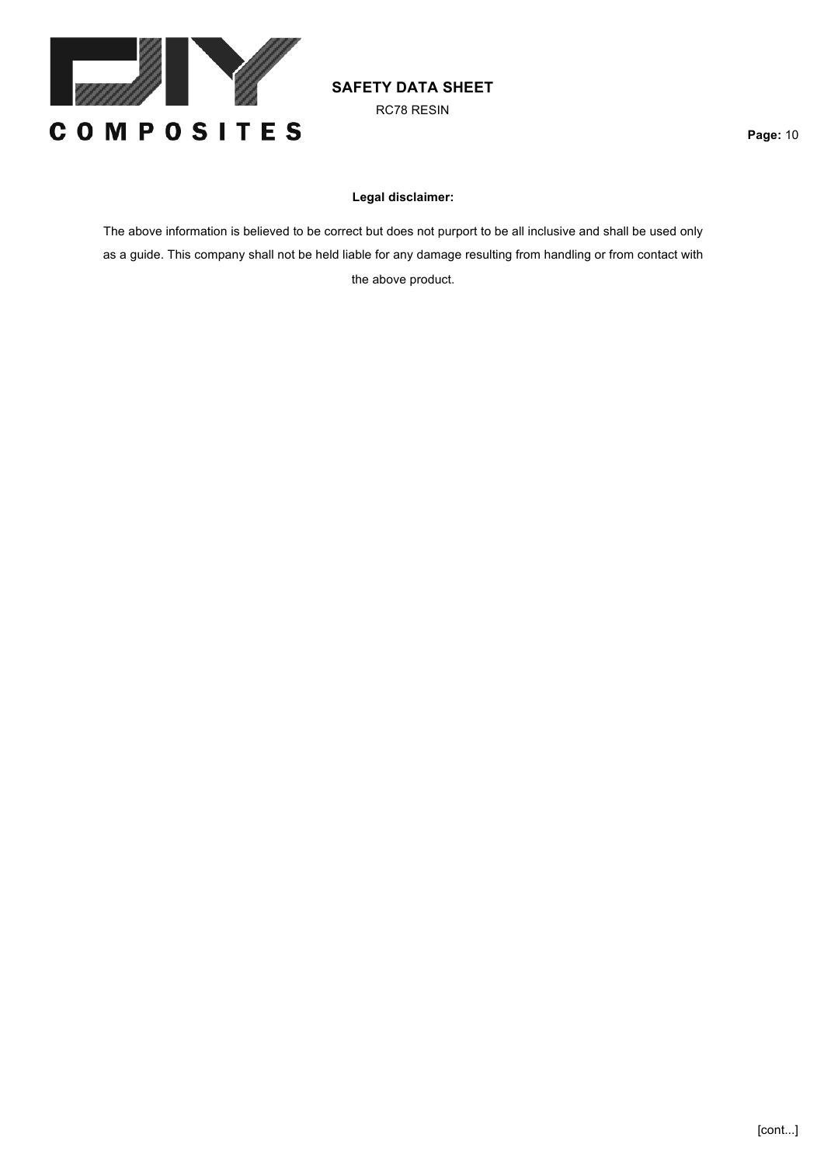

RC78 RESIN

# **Legal disclaimer:**

The above information is believed to be correct but does not purport to be all inclusive and shall be used only as a guide. This company shall not be held liable for any damage resulting from handling or from contact with the above product.